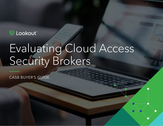

# Evaluating Cloud Access Security Brokers

CASB BUYER'S GUIDE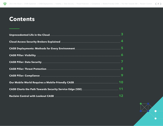# **Contents**

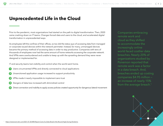# <span id="page-2-0"></span>**Unprecedented Life in the Cloud**

Prior to the pandemic, most organizations had started on the path to digital transformation. Then, 2020 came crashing down on IT teams. Changes forced data and users to the cloud, and accelerated digital transformation in unprecedented ways.

As employees left the confines of their offices, so too did the status quo of accessing data from managed or corporate-issued devices within the network perimeter. Instead, for many, unmanaged devices became the primary method of accessing data in order to stay productive. Companies with tens of thousands of employees now had the same amount of home networks accessing the corporate network. And VPNs were overburdened and unable to keep up with the sprawling demand they were never designed or implemented for.

IT and security teams lost visibility and control when the world went home.

- Users circumvented VPNs and directly connected to cloud applications **1**
- Unsanctioned application usage increased to support productivity **2**
- VPNs made it nearly impossible to implement zero trust **3**
- Dangers of data loss increased with diminished control **4**
- Direct connection and inability to apply access policies created opportunity for dangerous lateral movement **5**

Companies embracing remote work and cloud as they shifted to accommodate the increasingly online world faced costlier data breaches. Nearly 20% of organizations studied by Ponemon reported that remote work was a factor in a data breach. And, breaches ended up costing companies \$4.95 million an increase of nearly 15% from the average breach.<sup>1</sup>

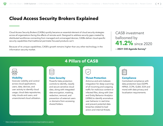# <span id="page-3-0"></span>**Cloud Access Security Brokers Explained**

Cloud Access Security Brokers (CASBs) quickly became an essential element of cloud security strategies across all organizations facing the effects of remote work. Designed to address security gaps created by distributed workforces connecting from managed and unmanaged devices, CASBs deliver cloud-specific security capabilities that traditional perimeter-focused products can't.

Because of its unique capabilities, CASB's growth remains higher than any other technology in the information security market.



### **4 Pillars of CASB**

#### **Visibility**

Granular visibility and control across cloud applications, users, data, devices, and user activity to identify cloud usage, cloud data repositories, risky clouds and users, and unsanctioned cloud utilization.

#### **Data Security**

Powerful data protection controls to identify, classify and secure sensitive cloud data, along with integrated data encryption, masking, redaction, removal, and prevention of external users or domains from accessing shared folders.

#### **Threat Protection**

Antivirus and anti-malware integration for deep scanning of all incoming and outgoing traffic for malicious content or infected files, along with User and Entity Behavior Analytics (UEBA) to identify anomalous user behavior in real-time and prevent potential data breaches related to bad actors and internal threats.

#### **Compliance**

Centralized compliance with data protection laws (GDPR, HIPAA, CCPA, GLBA, SOX and more) with data privacy and localization requirements.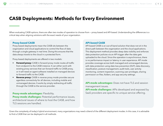## <span id="page-4-0"></span>**CASB Deployments: Methods for Every Environment**

When evaluating CASB options, there are often two modes of operation to choose from — proxy-based and API-based. Understanding the differences is a critical step when aligning solutions with the exact needs of your organization.

#### **Proxy-based CASB**

Proxy-based deployments mean the CASB sits between the organization and cloud applications to control the flow of data through a single gateway in real time. Doing this ensures that the data always travels to the cloud in a protected form.

Proxy-based deployments are offered in two models:

- **Forward proxy:** CASB in forward proxy mode routes all traffic from endpoint to the CASB instance. It can either work with existing proxy services that can forward traffic to CASB proxy, or it will need an agent software installed on managed devices to forward traffic to the CASB.
- **Reverse proxy:** CASB in reverse proxy mode provides secure agentless connectivity for all devices, including mobile and unmanaged devices. It works by simply redirecting all traffic through the CASB to the service provider.

**Proxy-mode advantages: Flexibility. Proxy-mode challenges:** Potential performance issues, architectural issues of where to host the CASB, and how TLS sessions are handled.

#### **API-based CASB**

API-based CASB is an out-of-band solution that does not sit in the direct path between the organization and the cloud applications. This deployment method provides deep data visibility and enforces data protection policies via an API trigger after the data gets uploaded to the cloud. Since the operation is asynchronous, there is no performance impact or latency in user experience. API mode provides coverage across both managed and unmanaged devices, with data protection using data loss prevention (DLP), data discovery, classification, posture management, audit trails, user activity monitoring, content inspection, scanning user privileges, sharing permission on files, folders, and app security settings.

**API-mode advantages:** Does not have TLS and session management issues.

**API-mode challenges:** APIs developed and exposed by SaaS providers are specific to unique service offering.

Given the complexity of today's hybrid environment, many organizations may need a blend of the different deployment modes. In this case, it is advisable to find a CASB that can be deployed in all methods.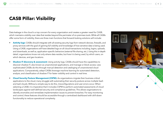# <span id="page-5-0"></span>**CASB Pillar: Visibility**

Data leakage in the cloud is a top concern for every organization and creates a greater need for CASB, which maintains visibility over data that resides beyond the perimeter of on-premises tools. While all CASBs offer some form of visibility, there are three main functions that forward-looking solutions will include:

- **Activity logs:** CASBs should integrate with all existing security logs from network devices, firewalls, and proxy services with the goal of gaining full visibility and knowledge of how sensitive data is being used. Using a CASB, organizations will have detailed logs on all cloud transactions including, logins, uploads, and downloads, as well as, application-specific behaviors (external file sharing, etc.). Using this in-depth detail, organizations know not only where data resides, but how it is being used, by which users, on which devices, and geo locations.
- **Shadow IT discovery & assessment:** Using activity logs, CASBs should have the capabilities to discover shadow IT, also known as unsanctioned applications, and manage or block access. Less sophisticated CASBs do this through manual detection and cataloging of unsanctioned cloud applications. Comparatively, adept CASBs leverage machine learning for automated detection, analysis, and classification of shadow IT for faster visibility and control in real time.
- **Cloud Security Posture Management (CSPM):** As organizations migrate their business critical applications to the cloud, many struggle with automating their security posture across multiple SaaS and IaaS clouds. Without a simple way to do this, misconfigurations and user errors occur. When selecting a CASB, it is imperative that it includes CSPM to perform automated assessments of cloud landscapes against well-defined security and compliance guidelines. This allows organizations to identify anomalies and remediate implementation issues to prevent breaches. For easy monitoring and control, these features should be accessible through a centralized dashboard with drill-down functionality to reduce operational complexity.

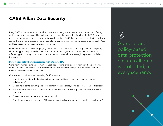# <span id="page-6-0"></span>**CASB Pillar: Data Security**

Many CASB solutions today only address data as it is being shared to the cloud, rather than offering end-to-end protection. As multi-cloud adoption rises and the popularity of policies like BYOD introduces masses of unmanaged devices, organizations will require a CASB that can keep pace with the evolving scope. There is now a greater need for a single environment to oversee data security across SaaS, PaaS, and IaaS accounts without operational complexity.

Most companies are now storing highly sensitive data on their public cloud applications — requiring cloud encryption to protect data in motion and at rest. First-generation CASB solutions often do not offer encryption or only do so when data is at rest, which is no longer enough to protect cloud data from attackers.

#### **Protect your data wherever it resides with integrated DLP**

Consistently manage data across multiple SaaS applications, emails and custom cloud deployments, and ensure the security of sensitive information through extensive data protection options that go beyond basic allow/deny capabilities.

Questions to consider when reviewing CASB offerings:

- Does it have multi-mode data inspection for securing historical data and real-time cloud collaboration?
- Does it have context-aware policy enforcement such as upload, download, share, and collaborate?
- Are there predefined and customized policy templates to address regulations such as PCI, HIPAA, and GDPR?
- Does it use advanced file and image scanning?
- Does it integrate with enterprise DLP systems to extend corporate policies to cloud applications?

Granular and policy-based data protection ensures all data is protected, in every scenario.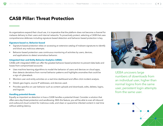# <span id="page-7-0"></span>**CASB Pillar: Threat Protection**

As organizations expand their cloud use, it is imperative that the platform does not become a channel for malware delivery to their users and internal networks. To proactively protect, selecting a CASB that uses comprehensive defenses including signature-based detection and behavior-based protection is key.

#### **Signature-based vs. Behavior-based**

- Signature-based protection relies on accessing an extensive catalog of malware signatures to identify and block any malicious attempts.
- Behavior-based protection uses continuous monitoring of activities by users, devices, and applications to detect anomalous behavior.

#### **Integrated User and Entity Behavior Analytics (UEBA)**

CASBs with integrated UEBA can offer the greatest behavior-based protection to prevent data leaks and losses from compromised accounts:

- Uses machine learning algorithms to model the behavior of users and devices on cloud apps, then detects deviations from normal behavior patterns and highlights anomalies that could be a sign of cyberattack.
- Monitors user and entity activities on a real-time dashboard and offers click incident analysis.
- Details geo-logins, source IP addresses, and devices used.
- Provides specifics on user behavior such as content uploads and downloads, edits, deletes, logins, and logouts.

#### **Handling potential threats**

Equally as important as detection is how a CASB handles a potential threat. Consider a solution that offers zero-day threat protection and sandboxing. With this feature, you will be able to scan all inbound and outbound cloud content for malicious code, and clean or quarantine infected content in real time without adding latency.



UEBA uncovers large numbers of downloads from an individual user, higher than normal logins from the same user, persistent login attempts from the same user.

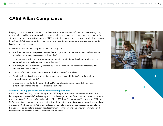# <span id="page-8-0"></span>**CASB Pillar: Compliance**

Relying on cloud providers to meet compliance requirements is not sufficient for the growing body of regulations. While organizations in industries such as healthcare and finance are used to meeting stringent standards, regulations such as GDPR are starting to encompass a larger swath of businesses. Selecting a CASB that makes it easy to comply and report on compliance is a critical component in future-proofing business.

Questions to ask about CASB governance and compliance:

- Are there predefined templates that enable the organization to migrate to the cloud in alignment with data privacy regulations across the globe?
- Is there an encryption and key management architecture that enables cloud applications to selectively encrypt data for each required country?
- Are encryption keys exclusively retained by the organization and not shared externally with the cloud service providers?
- Does it offer "safe harbor" exemptions to the breach notification laws?
- Can it perform historical scanning of existing data across multiple SaaS clouds, enabling comprehensive data audits?
- Does it come standard with out-of-the-box DLP templates to identify security blind spots, detect open shares, and address global regulations?

#### **Automate security posture to meet compliance requirements**

CSPM and SaaS Security Posture Management (SSPM) perform automated assessments of cloud landscapes against well-defined security and compliance guidelines. Given that most organizations now use a variety of SaaS and IaaS clouds such as Office 365, Box, Salesforce, AWS, and Azure, CSPM and SSPM make it easy to gain a comprehensive view of the entire cloud risk posture through a centralized dashboard. By choosing a CASB with this feature, you will not only reduce operational complexity, but you will also be able to prevent data loss from misconfigurations and ensure your multi-cloud infrastructure adheres to the latest compliance guidelines.



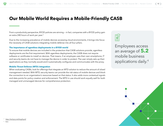# <span id="page-9-0"></span>**Our Mobile World Requires a Mobile-Friendly CASB**

From a productivity perspective, BYOD policies are winning — in fact, companies with a BYOD policy gain an extra 240 hours of work per year.3

Due to the increasing prevalence of mobile devices accessing cloud environments, it brings into focus the necessity of CASB solutions integrating mobile defense into all four pillars.

#### **The importance of agentless deployments in a BYOD world**

To ensure that mobile devices are included in the protection that CASB solutions provide, agentless deployments are the first requirement. With agentless deployments, the CASB does not require software or certificates to install on devices. That means, if an employee uses their own smartphone, IT and security teams do not have to manage the device in order to protect. The user simply sets up their applications as they normally would and it automatically configures and communicates with the proxy.

#### **Mobile Threat Defense (MTD) integration**

When evaluating CASBs, look for offerings that integrate an MTD solution to reduce the amount of siloed management needed. With MTD, security teams can provide the risk status of mobile devices and block the connection to an organization's resources based on that status. It also adds more contextual signals and data points for policy creation and enforcement. The MTD in use should work equally well for both managed and unmanaged devices for comprehensive protection.



Employees access an average of **5.2** mobile business applications daily.<sup>4</sup>

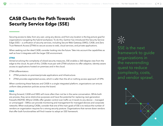# <span id="page-10-0"></span>**CASB Charts the Path Towards Security Service Edge (SSE)**

Securing access to data, from any user, using any device, and from any location is the big picture goal for organizations navigating the hybrid workplace. To do this, Gartner has introduced the Security Service Edge (SSE) — a unification of security services, including Secure Web Gateway (SWG), CASB, and Zero Trust Network Access (ZTNA) to secure access to web, cloud services, and private applications.

When seeking out the ideal CASB, consider looking into the future. Take into account the capabilities as well as how it integrates with the larger SSE environment.

#### **ZTNA**

Aimed at solving the complexity of siloed security measures, SSE enables a 360-degree view from the edge to the cloud. As part of this, CASBs must pair with ZTNA solutions to offer adaptive, identity-aware access to applications hosted on-premises and in the cloud.

ZTNA differentiators:

- ZTNA protects on-premises/private applications and infrastructure.
- ZTNA provides segmented access, which is safer than the all-or-nothing access approach of VPN.

When combining these features and CASB in a single integrated platform, organizations can ensure uniform data protection policies across the board.

#### **SWG**

Moving forward, CASB and SWG will more often than not be in the same conversation. While both are proxies, they serve distinctive purposes and have the potential for replacing next-generation firewalls (NGFW). Where CASBs offer greater control over traffic as it travels to any device — managed or unmanaged — SWGs can provide monitoring and management for managed devices and corporate networks. When evaluating CASBs, consider that one of the main goals of SSE is to reduce the number of vendors an organization requires for a strong security posture. Organizations that narrow down vendors that offer both functionalities will find it easier to adopt an SSE framework.



SSE is the next framework to guide organizations in the neverending quest to reduce complexity, costs, and vendor sprawl.